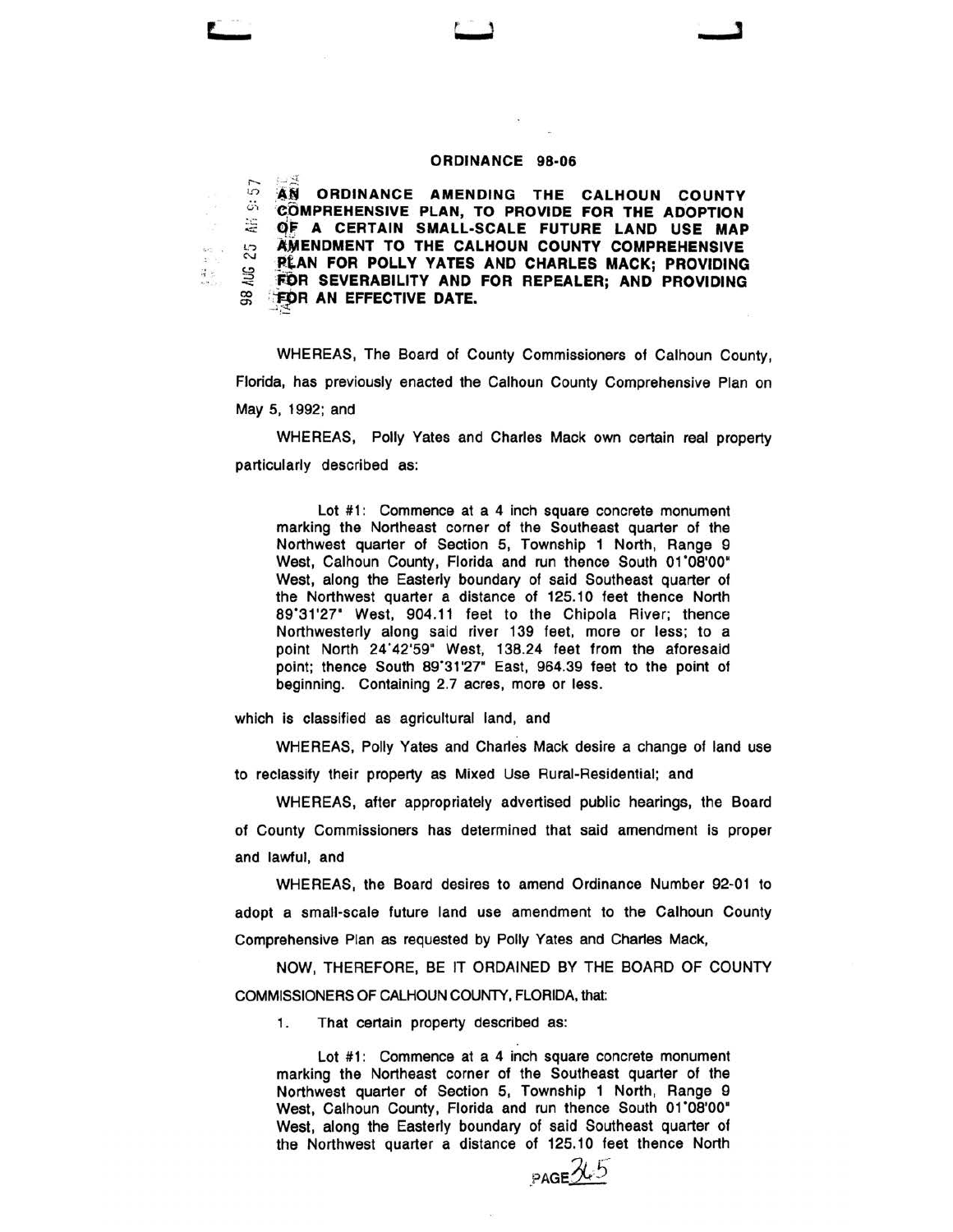## **ORDINANCE 98-06**

**EXAGORDINANCE AMENDING THE CALHOUN COUNTY COMPREHENSIVE PLAN, TO PROVIDE FOR THE ADOPTION**<br>GF A CERTAIN SMALL-SCALE FUTURE LAND USE MAP OF A CERTAIN SMALL-SCALE FUTURE LAND USE MAP **AMENDMENT TO THE CALHOUN COUNTY COMPREHENSIVE** ~ ~tAN **FOR POLLY YATES AND CHARLES MACK; PROVIDING**   $\frac{3}{4}$  :  $\geq$  **FOR SEVERABILITY AND FOR REPEALER; AND PROVIDING**<br> $\approx$  **FOR AN EFFECTIVE DATE.** ~ 'ffR **AN EFFECTIVE DATE.** 

WHEREAS, The Board of County Commissioners of Calhoun County, Florida, has previously enacted the Calhoun County Comprehensive Plan on May 5, 1992; and

WHEREAS, Polly Yates and Charles Mack own certain real property particularly described as:

Lot #1: Commence at a 4 inch square concrete monument marking the Northeast corner of the Southeast quarter of the Northwest quarter of Section 5, Township 1 North, Range 9 West, Calhoun County, Florida and run thence South 01'08'00" West, along the Easterly boundary of said Southeast quarter of the Northwest quarter a distance of 125.10 feet thence North 89'31'27" West, 904.11 feet to the Chipola River; thence Northwesterly along said river 139 feet, more or less; to a point North 24'42'59" West, 138.24 feet from the aforesaid point; thence South 89'31'27" East, 964.39 feet to the point of beginning. Containing 2.7 acres, more or less.

which is classified as agricultural land, and

WHEREAS, Polly Yates and Charles Mack desire a change of land use to reclassify their property as Mixed Use Rural-Residential; and

WHEREAS, after appropriately advertised public hearings, the Board of County Commissioners has determined that said amendment is proper and lawful, and

WHEREAS, the Board desires to amend Ordinance Number 92-01 to adopt a small-scale future land use amendment to the Calhoun County Comprehensive Plan as requested by Polly Yates and Charles Mack,

NOW, THEREFORE, BE IT ORDAINED BY THE BOARD OF COUNTY COMMISSIONERS OF CALHOUN COUNTY, FLORIDA, that:

1. That certain property described as:

Lot #1: Commence at a 4 inch square concrete monument marking the Northeast corner of the Southeast quarter of the Northwest quarter of Section 5, Township 1 North, Range 9 West, Calhoun County, Florida and run thence South 01 '08'00" West, along the Easterly boundary of said Southeast quarter of the Northwest quarter a distance of 125.10 feet thence North

 $PAGE$ <sup>5</sup>